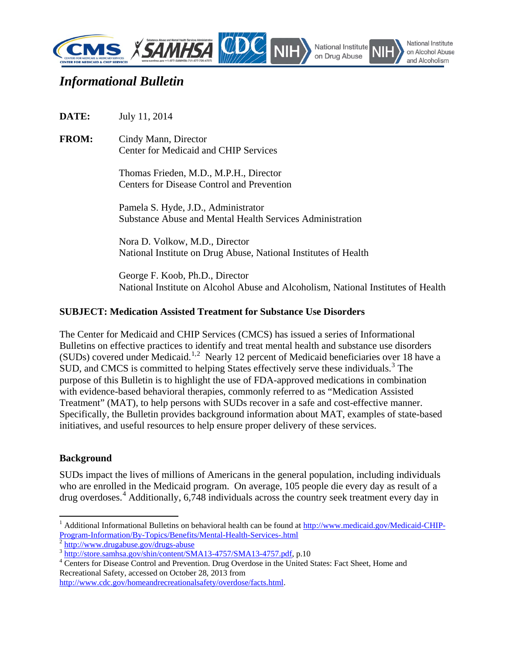

# *Informational Bulletin*

**DATE:** July 11, 2014

**FROM:** Cindy Mann, Director Center for Medicaid and CHIP Services

> Thomas Frieden, M.D., M.P.H., Director Centers for Disease Control and Prevention

Pamela S. Hyde, J.D., Administrator Substance Abuse and Mental Health Services Administration

Nora D. Volkow, M.D., Director National Institute on Drug Abuse, National Institutes of Health

George F. Koob, Ph.D., Director National Institute on Alcohol Abuse and Alcoholism, National Institutes of Health

## **SUBJECT: Medication Assisted Treatment for Substance Use Disorders**

The Center for Medicaid and CHIP Services (CMCS) has issued a series of Informational Bulletins on effective practices to identify and treat mental health and substance use disorders (SUDs) covered under Medicaid.<sup>[1,](#page-0-0)[2](#page-0-1)</sup> Nearly 12 percent of Medicaid beneficiaries over 18 have a SUD, and CMCS is committed to helping States effectively serve these individuals.<sup>[3](#page-0-2)</sup> The purpose of this Bulletin is to highlight the use of FDA-approved medications in combination with evidence-based behavioral therapies, commonly referred to as "Medication Assisted Treatment" (MAT), to help persons with SUDs recover in a safe and cost-effective manner. Specifically, the Bulletin provides background information about MAT, examples of state-based initiatives, and useful resources to help ensure proper delivery of these services.

#### **Background**

 $\overline{\phantom{a}}$ 

SUDs impact the lives of millions of Americans in the general population, including individuals who are enrolled in the Medicaid program. On average, 105 people die every day as result of a drug overdoses. [4](#page-0-3) Additionally, 6,748 individuals across the country seek treatment every day in

<span id="page-0-0"></span><sup>&</sup>lt;sup>1</sup> Additional Informational Bulletins on behavioral health can be found at http://www.medicaid.gov/Medicaid-CHIP-<br>Program-Information/By-Topics/Benefits/Mental-Health-Services-.html

<span id="page-0-3"></span><span id="page-0-2"></span>

<span id="page-0-1"></span> $\frac{1}{3}$  <http://www.drugabuse.gov/drugs-abuse><br> $\frac{1}{3}$  [http://store.samhsa.gov/shin/content/SMA13-4757/SMA13-4757.pdf,](http://store.samhsa.gov/shin/content/SMA13-4757/SMA13-4757.pdf) p.10<br> $\frac{1}{4}$  Centers for Disease Control and Prevention. Drug Overdose in the United States: Fact Recreational Safety, accessed on October 28, 2013 from

[http://www.cdc.gov/homeandrecreationalsafety/overdose/facts.html.](http://www.cdc.gov/homeandrecreationalsafety/overdose/facts.html)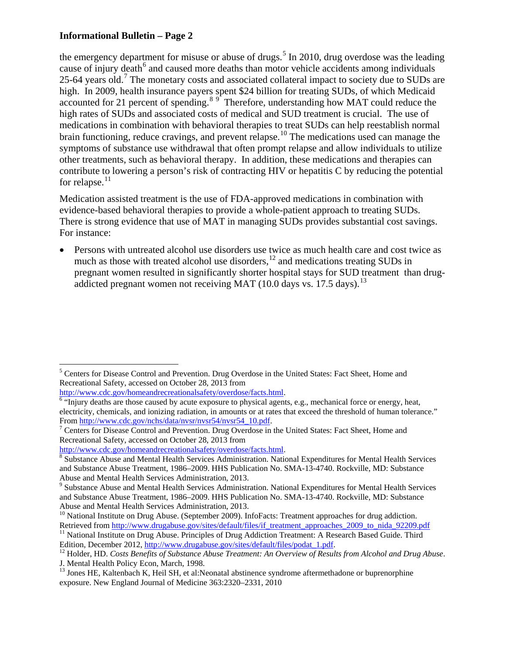the emergency department for misuse or abuse of drugs.<sup>[5](#page-1-0)</sup> In 2010, drug overdose was the leading cause of injury death<sup>[6](#page-1-1)</sup> and caused more deaths than motor vehicle accidents among individuals 25-64 years old.<sup>[7](#page-1-2)</sup> The monetary costs and associated collateral impact to society due to SUDs are high. In 2009, health insurance payers spent \$24 billion for treating SUDs, of which Medicaid accounted for 21 percent of spending.<sup>[8](#page-1-3)[9](#page-1-4)</sup> Therefore, understanding how MAT could reduce the high rates of SUDs and associated costs of medical and SUD treatment is crucial. The use of medications in combination with behavioral therapies to treat SUDs can help reestablish normal brain functioning, reduce cravings, and prevent relapse.<sup>[10](#page-1-5)</sup> The medications used can manage the symptoms of substance use withdrawal that often prompt relapse and allow individuals to utilize other treatments, such as behavioral therapy. In addition, these medications and therapies can contribute to lowering a person's risk of contracting HIV or hepatitis C by reducing the potential for relapse. $11$ 

Medication assisted treatment is the use of FDA-approved medications in combination with evidence-based behavioral therapies to provide a whole-patient approach to treating SUDs. There is strong evidence that use of MAT in managing SUDs provides substantial cost savings. For instance:

• Persons with untreated alcohol use disorders use twice as much health care and cost twice as much as those with treated alcohol use disorders, $12$  and medications treating SUDs in pregnant women resulted in significantly shorter hospital stays for SUD treatment than drug-addicted pregnant women not receiving MAT (10.0 days vs. 17.5 days).<sup>[13](#page-1-8)</sup>

<span id="page-1-0"></span> $\overline{\phantom{a}}$ <sup>5</sup> Centers for Disease Control and Prevention. Drug Overdose in the United States: Fact Sheet, Home and Recreational Safety, accessed on October 28, 2013 from<br>http://www.cdc.gov/homeandrecreationalsafety/overdose/facts.html.

<span id="page-1-1"></span> $\frac{6}{10}$  "Injury deaths are those caused by acute exposure to physical agents, e.g., mechanical force or energy, heat, electricity, chemicals, and ionizing radiation, in amounts or at rates that exceed the threshold of human tolerance."

<span id="page-1-2"></span>From [http://www.cdc.gov/nchs/data/nvsr/nvsr54/nvsr54\\_10.pdf.](http://www.cdc.gov/nchs/data/nvsr/nvsr54/nvsr54_10.pdf)<br><sup>7</sup> Centers for Disease Control and Prevention. Drug Overdose in the United States: Fact Sheet, Home and Recreational Safety, accessed on October 28, 2013 from<br>http://www.cdc.gov/homeandrecreationalsafety/overdose/facts.html.

<span id="page-1-3"></span> $\frac{8}{8}$  Substance Abuse and Mental Health Services Administration. National Expenditures for Mental Health Services and Substance Abuse Treatment, 1986–2009. HHS Publication No. SMA-13-4740. Rockville, MD: Substance Abuse and Mental Health Services Administration, 2013.

<span id="page-1-4"></span><sup>&</sup>lt;sup>9</sup> Substance Abuse and Mental Health Services Administration. National Expenditures for Mental Health Services and Substance Abuse Treatment, 1986–2009. HHS Publication No. SMA-13-4740. Rockville, MD: Substance Abuse and Mental Health Services Administration, 2013.

<span id="page-1-5"></span> $10$  National Institute on Drug Abuse. (September 2009). InfoFacts: Treatment approaches for drug addiction.

<span id="page-1-6"></span>Retrieved from [http://www.drugabuse.gov/sites/default/files/if\\_treatment\\_approaches\\_2009\\_to\\_nida\\_92209.pdf](http://www.drugabuse.gov/sites/default/files/if_treatment_approaches_2009_to_nida_92209.pdf) <sup>11</sup> National Institute on Drug Abuse. Principles of Drug Addiction Treatment: A Research Based Guide. Third Editio

<span id="page-1-7"></span><sup>&</sup>lt;sup>12</sup> Holder, HD. *Costs Benefits of Substance Abuse Treatment: An Overview of Results from Alcohol and Drug Abuse.* J. Mental Health Policy Econ, March, 1998.

<span id="page-1-8"></span><sup>&</sup>lt;sup>13</sup> Jones HE, Kaltenbach K, Heil SH, et al:Neonatal abstinence syndrome aftermethadone or buprenorphine exposure. New England Journal of Medicine 363:2320–2331, 2010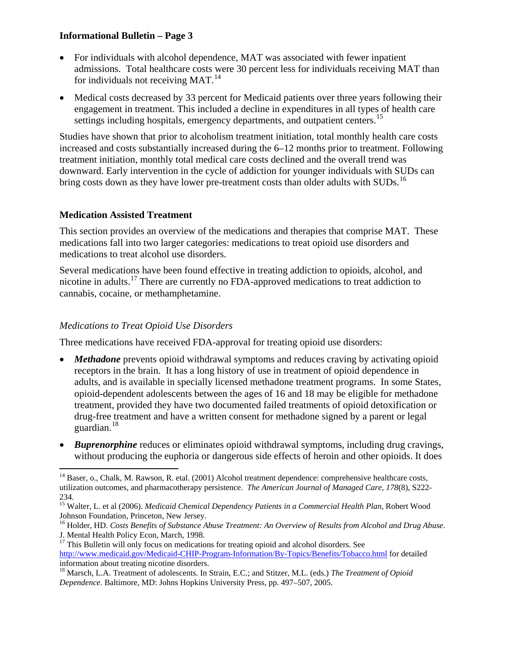- For individuals with alcohol dependence, MAT was associated with fewer inpatient admissions. Total healthcare costs were 30 percent less for individuals receiving MAT than for individuals not receiving MAT. $^{14}$  $^{14}$  $^{14}$
- Medical costs decreased by 33 percent for Medicaid patients over three years following their engagement in treatment. This included a decline in expenditures in all types of health care settings including hospitals, emergency departments, and outpatient centers.<sup>15</sup>

Studies have shown that prior to alcoholism treatment initiation, total monthly health care costs increased and costs substantially increased during the 6–12 months prior to treatment. Following treatment initiation, monthly total medical care costs declined and the overall trend was downward. Early intervention in the cycle of addiction for younger individuals with SUDs can bring costs down as they have lower pre-treatment costs than older adults with SUDs.<sup>[16](#page-2-2)</sup>

## **Medication Assisted Treatment**

This section provides an overview of the medications and therapies that comprise MAT. These medications fall into two larger categories: medications to treat opioid use disorders and medications to treat alcohol use disorders.

Several medications have been found effective in treating addiction to opioids, alcohol, and nicotine in adults.[17](#page-2-3) There are currently no FDA-approved medications to treat addiction to cannabis, cocaine, or methamphetamine.

## *Medications to Treat Opioid Use Disorders*

Three medications have received FDA-approval for treating opioid use disorders:

- *Methadone* prevents opioid withdrawal symptoms and reduces craving by activating opioid receptors in the brain. It has a long history of use in treatment of opioid dependence in adults, and is available in specially licensed methadone treatment programs. In some States, opioid-dependent adolescents between the ages of 16 and 18 may be eligible for methadone treatment, provided they have two documented failed treatments of opioid detoxification or drug-free treatment and have a written consent for methadone signed by a parent or legal guardian.<sup>[18](#page-2-4)</sup>
- *Buprenorphine* reduces or eliminates opioid withdrawal symptoms, including drug cravings, without producing the euphoria or dangerous side effects of heroin and other opioids. It does

<span id="page-2-0"></span>l <sup>14</sup> Baser, o., Chalk, M. Rawson, R. etal. (2001) Alcohol treatment dependence: comprehensive healthcare costs, utilization outcomes, and pharmacotherapy persistence. *The American Journal of Managed Care, 178*(8), S222- 234.

<span id="page-2-1"></span><sup>15</sup> Walter, L. et al (2006). *Medicaid Chemical Dependency Patients in a Commercial Health Plan*, Robert Wood Johnson Foundation, Princeton, New Jersey.

<span id="page-2-2"></span><sup>16</sup> Holder, HD. *Costs Benefits of Substance Abuse Treatment: An Overview of Results from Alcohol and Drug Abuse*. J. Mental Health Policy Econ, March, 1998.

<span id="page-2-3"></span> $17$  This Bulletin will only focus on medications for treating opioid and alcohol disorders. See <http://www.medicaid.gov/Medicaid-CHIP-Program-Information/By-Topics/Benefits/Tobacco.html> for detailed information about treating nicotine disorders.

<span id="page-2-4"></span><sup>18</sup> Marsch, L.A. Treatment of adolescents. In Strain, E.C.; and Stitzer, M.L. (eds.) *The Treatment of Opioid Dependence*. Baltimore, MD: Johns Hopkins University Press, pp. 497–507, 2005.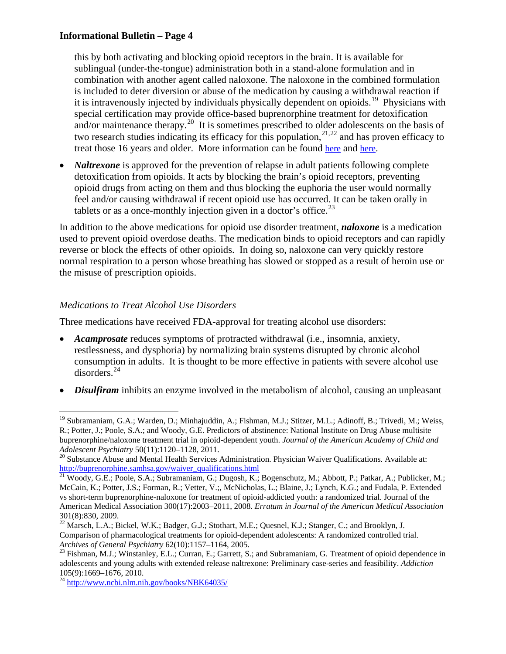this by both activating and blocking opioid receptors in the brain. It is available for sublingual (under-the-tongue) administration both in a stand-alone formulation and in combination with another agent called naloxone. The naloxone in the combined formulation is included to deter diversion or abuse of the medication by causing a withdrawal reaction if it is intravenously injected by individuals physically dependent on opioids.<sup>19</sup> Physicians with special certification may provide office-based buprenorphine treatment for detoxification and/or maintenance therapy.<sup>20</sup> It is sometimes prescribed to older adolescents on the basis of two research studies indicating its efficacy for this population,  $2^{1,22}$  $2^{1,22}$  $2^{1,22}$  and has proven efficacy to treat those 16 years and older. More information can be found [here](http://buprenorphine.samhsa.gov/) and [here.](http://www.naabt.org/generic_buprenorphine.cfm)

• *Naltrexone* is approved for the prevention of relapse in adult patients following complete detoxification from opioids. It acts by blocking the brain's opioid receptors, preventing opioid drugs from acting on them and thus blocking the euphoria the user would normally feel and/or causing withdrawal if recent opioid use has occurred. It can be taken orally in tablets or as a once-monthly injection given in a doctor's office.<sup>[23](#page-3-4)</sup>

In addition to the above medications for opioid use disorder treatment, *naloxone* is a medication used to prevent opioid overdose deaths. The medication binds to opioid receptors and can rapidly reverse or block the effects of other opioids. In doing so, naloxone can very quickly restore normal respiration to a person whose breathing has slowed or stopped as a result of heroin use or the misuse of prescription opioids.

## *Medications to Treat Alcohol Use Disorders*

l

Three medications have received FDA-approval for treating alcohol use disorders:

- *Acamprosate* reduces symptoms of protracted withdrawal (i.e., insomnia, anxiety, restlessness, and dysphoria) by normalizing brain systems disrupted by chronic alcohol consumption in adults. It is thought to be more effective in patients with severe alcohol use disorders.[24](#page-3-5)
- *Disulfiram* inhibits an enzyme involved in the metabolism of alcohol, causing an unpleasant

<span id="page-3-0"></span><sup>&</sup>lt;sup>19</sup> Subramaniam, G.A.; Warden, D.; Minhajuddin, A.; Fishman, M.J.; Stitzer, M.L.; Adinoff, B.; Trivedi, M.; Weiss, R.; Potter, J.; Poole, S.A.; and Woody, G.E. Predictors of abstinence: National Institute on Drug Abuse multisite buprenorphine/naloxone treatment trial in opioid-dependent youth. *Journal of the American Academy of Child and* 

<span id="page-3-1"></span><sup>&</sup>lt;sup>20</sup> Substance Abuse and Mental Health Services Administration. Physician Waiver Qualifications. Available at: [http://buprenorphine.samhsa.gov/waiver\\_qualifications.html](http://buprenorphine.samhsa.gov/waiver_qualifications.html)

<span id="page-3-2"></span><sup>&</sup>lt;sup>21</sup> Woody, G.E.; Poole, S.A.; Subramaniam, G.; Dugosh, K.; Bogenschutz, M.; Abbott, P.; Patkar, A.; Publicker, M.; McCain, K.; Potter, J.S.; Forman, R.; Vetter, V.;, McNicholas, L.; Blaine, J.; Lynch, K.G.; and Fudala, P. Extended vs short-term buprenorphine-naloxone for treatment of opioid-addicted youth: a randomized trial. Journal of the American Medical Association 300(17):2003–2011, 2008. *Erratum in Journal of the American Medical Association* 301(8):830, 2009.

<span id="page-3-3"></span><sup>&</sup>lt;sup>22</sup> Marsch, L.A.; Bickel, W.K.; Badger, G.J.; Stothart, M.E.; Quesnel, K.J.; Stanger, C.; and Brooklyn, J. Comparison of pharmacological treatments for opioid-dependent adolescents: A randomized controlled trial. Archives of General Psychiatry 62(10):1157–1164, 2005.

<span id="page-3-4"></span><sup>&</sup>lt;sup>23</sup> Fishman, M.J.; Winstanley, E.L.; Curran, E.; Garrett, S.; and Subramaniam, G. Treatment of opioid dependence in adolescents and young adults with extended release naltrexone: Preliminary case-series and feasibility. *Addiction* 105(9):1669–1676, 2010.<br><sup>24</sup> http://www.ncbi.<u>nlm.nih.gov/books/NBK64035/</u>

<span id="page-3-5"></span>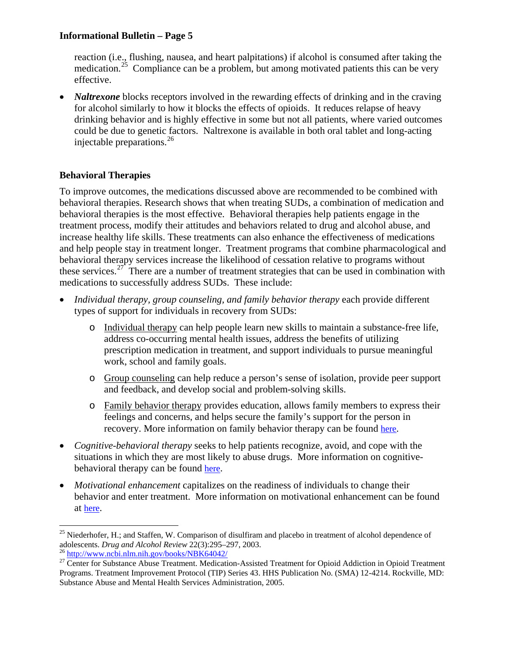reaction (i.e., flushing, nausea, and heart palpitations) if alcohol is consumed after taking the medication.<sup>25</sup> Compliance can be a problem, but among motivated patients this can be very effective.

• *Naltrexone* blocks receptors involved in the rewarding effects of drinking and in the craving for alcohol similarly to how it blocks the effects of opioids. It reduces relapse of heavy drinking behavior and is highly effective in some but not all patients, where varied outcomes could be due to genetic factors. Naltrexone is available in both oral tablet and long-acting injectable preparations.[26](#page-4-1)

## **Behavioral Therapies**

To improve outcomes, the medications discussed above are recommended to be combined with behavioral therapies. Research shows that when treating SUDs, a combination of medication and behavioral therapies is the most effective. Behavioral therapies help patients engage in the treatment process, modify their attitudes and behaviors related to drug and alcohol abuse, and increase healthy life skills. These treatments can also enhance the effectiveness of medications and help people stay in treatment longer. Treatment programs that combine pharmacological and behavioral therapy services increase the likelihood of cessation relative to programs without these services.<sup>27</sup> There are a number of treatment strategies that can be used in combination with medications to successfully address SUDs. These include:

- *Individual therapy, group counseling, and family behavior therapy each provide different* types of support for individuals in recovery from SUDs:
	- o Individual therapy can help people learn new skills to maintain a substance-free life, address co-occurring mental health issues, address the benefits of utilizing prescription medication in treatment, and support individuals to pursue meaningful work, school and family goals.
	- o Group counseling can help reduce a person's sense of isolation, provide peer support and feedback, and develop social and problem-solving skills.
	- o Family behavior therapy provides education, allows family members to express their feelings and concerns, and helps secure the family's support for the person in recovery. More information on family behavior therapy can be found [here.](http://www.drugabuse.gov/publications/principles-drug-addiction-treatment-research-based-guide-third-edition/evidence-based-approaches-to-drug-addiction-treatment/behavioral-5)
- *Cognitive-behavioral therapy* seeks to help patients recognize, avoid, and cope with the situations in which they are most likely to abuse drugs. More information on cognitivebehavioral therapy can be found [here.](http://www.drugabuse.gov/publications/principles-drug-addiction-treatment-research-based-guide-third-edition/evidence-based-approaches-to-drug-addiction-treatment/behavioral)
- *Motivational enhancement* capitalizes on the readiness of individuals to change their behavior and enter treatment. More information on motivational enhancement can be found at [here.](http://www.drugabuse.gov/publications/principles-drug-addiction-treatment-research-based-guide-third-edition/evidence-based-approaches-to-drug-addiction-treatment/behavioral-2)

<span id="page-4-0"></span>l <sup>25</sup> Niederhofer, H.; and Staffen, W. Comparison of disulfiram and placebo in treatment of alcohol dependence of adolescents. *Drug and Alcohol Review* 22(3):295–297, 2003.<br><sup>26</sup> <http://www.ncbi.nlm.nih.gov/books/NBK64042/><br><sup>27</sup> Center for Substance Abuse Treatment. Medication-Assisted Treatment for Opioid Addiction in Opioid Treatment

<span id="page-4-1"></span>

<span id="page-4-2"></span>Programs. Treatment Improvement Protocol (TIP) Series 43. HHS Publication No. (SMA) 12-4214. Rockville, MD: Substance Abuse and Mental Health Services Administration, 2005.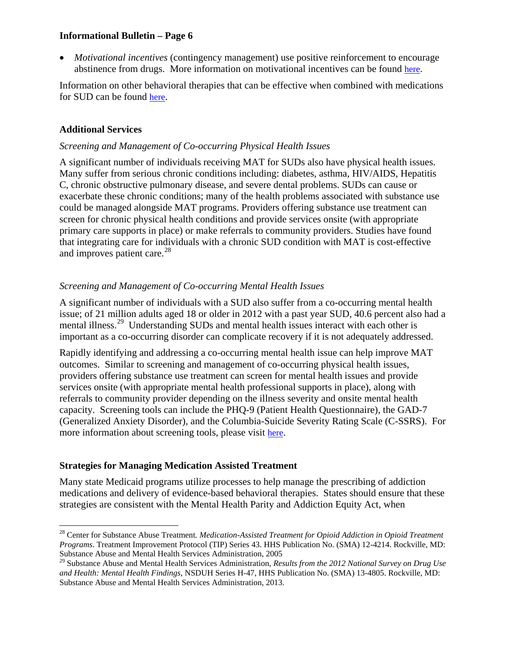• *Motivational incentives* (contingency management) use positive reinforcement to encourage abstinence from drugs. More information on motivational incentives can be found [here.](http://www.drugabuse.gov/publications/principles-drug-addiction-treatment-research-based-guide-third-edition/evidence-based-approaches-to-drug-addiction-treatment/behavioral-0)

Information on other behavioral therapies that can be effective when combined with medications for SUD can be found [here.](http://www.drugabuse.gov/publications/principles-drug-addiction-treatment/evidence-based-approaches-to-drug-addiction-treatment/behavioral-therapies)

## **Additional Services**

l

#### *Screening and Management of Co-occurring Physical Health Issues*

A significant number of individuals receiving MAT for SUDs also have physical health issues. Many suffer from serious chronic conditions including: diabetes, asthma, HIV/AIDS, Hepatitis C, chronic obstructive pulmonary disease, and severe dental problems. SUDs can cause or exacerbate these chronic conditions; many of the health problems associated with substance use could be managed alongside MAT programs. Providers offering substance use treatment can screen for chronic physical health conditions and provide services onsite (with appropriate primary care supports in place) or make referrals to community providers. Studies have found that integrating care for individuals with a chronic SUD condition with MAT is cost-effective and improves patient care.<sup>[28](#page-5-0)</sup>

## *Screening and Management of Co-occurring Mental Health Issues*

A significant number of individuals with a SUD also suffer from a co-occurring mental health issue; of 21 million adults aged 18 or older in 2012 with a past year SUD, 40.6 percent also had a mental illness.<sup>29</sup> Understanding SUDs and mental health issues interact with each other is important as a co-occurring disorder can complicate recovery if it is not adequately addressed.

Rapidly identifying and addressing a co-occurring mental health issue can help improve MAT outcomes. Similar to screening and management of co-occurring physical health issues, providers offering substance use treatment can screen for mental health issues and provide services onsite (with appropriate mental health professional supports in place), along with referrals to community provider depending on the illness severity and onsite mental health capacity. Screening tools can include the PHQ-9 (Patient Health Questionnaire), the GAD-7 (Generalized Anxiety Disorder), and the Columbia-Suicide Severity Rating Scale (C-SSRS). For more information about screening tools, please visit [here.](http://beta.samhsa.gov/health-reform/health-care-integration/health-homes/screening-tools)

## **Strategies for Managing Medication Assisted Treatment**

Many state Medicaid programs utilize processes to help manage the prescribing of addiction medications and delivery of evidence-based behavioral therapies. States should ensure that these strategies are consistent with the Mental Health Parity and Addiction Equity Act, when

<span id="page-5-0"></span><sup>&</sup>lt;sup>28</sup> Center for Substance Abuse Treatment. Medication-Assisted Treatment for Opioid Addiction in Opioid Treatment *Programs*. Treatment Improvement Protocol (TIP) Series 43. HHS Publication No. (SMA) 12-4214. Rockville, MD: Substance Abuse and Mental Health Services Administration, 2005

<span id="page-5-1"></span><sup>29</sup> Substance Abuse and Mental Health Services Administration, *Results from the 2012 National Survey on Drug Use and Health: Mental Health Findings*, NSDUH Series H-47, HHS Publication No. (SMA) 13-4805. Rockville, MD: Substance Abuse and Mental Health Services Administration, 2013.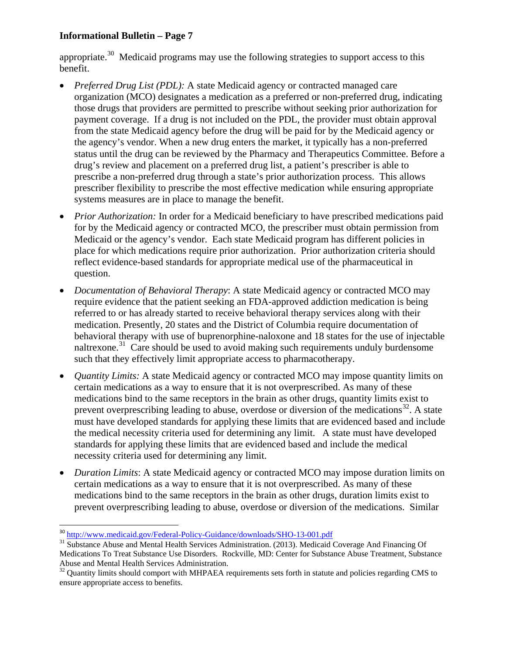appropriate.<sup>[30](#page-6-0)</sup> Medicaid programs may use the following strategies to support access to this benefit.

- *Preferred Drug List (PDL):* A state Medicaid agency or contracted managed care organization (MCO) designates a medication as a preferred or non-preferred drug, indicating those drugs that providers are permitted to prescribe without seeking prior authorization for payment coverage. If a drug is not included on the PDL, the provider must obtain approval from the state Medicaid agency before the drug will be paid for by the Medicaid agency or the agency's vendor. When a new drug enters the market, it typically has a non-preferred status until the drug can be reviewed by the Pharmacy and Therapeutics Committee. Before a drug's review and placement on a preferred drug list, a patient's prescriber is able to prescribe a non-preferred drug through a state's prior authorization process. This allows prescriber flexibility to prescribe the most effective medication while ensuring appropriate systems measures are in place to manage the benefit.
- *Prior Authorization:* In order for a Medicaid beneficiary to have prescribed medications paid for by the Medicaid agency or contracted MCO, the prescriber must obtain permission from Medicaid or the agency's vendor. Each state Medicaid program has different policies in place for which medications require prior authorization. Prior authorization criteria should reflect evidence-based standards for appropriate medical use of the pharmaceutical in question.
- *Documentation of Behavioral Therapy*: A state Medicaid agency or contracted MCO may require evidence that the patient seeking an FDA-approved addiction medication is being referred to or has already started to receive behavioral therapy services along with their medication. Presently, 20 states and the District of Columbia require documentation of behavioral therapy with use of buprenorphine-naloxone and 18 states for the use of injectable naltrexone.<sup>[31](#page-6-1)</sup> Care should be used to avoid making such requirements unduly burdensome such that they effectively limit appropriate access to pharmacotherapy.
- *Quantity Limits:* A state Medicaid agency or contracted MCO may impose quantity limits on certain medications as a way to ensure that it is not overprescribed. As many of these medications bind to the same receptors in the brain as other drugs, quantity limits exist to prevent overprescribing leading to abuse, overdose or diversion of the medications<sup>[32](#page-6-2)</sup>. A state must have developed standards for applying these limits that are evidenced based and include the medical necessity criteria used for determining any limit. A state must have developed standards for applying these limits that are evidenced based and include the medical necessity criteria used for determining any limit.
- *Duration Limits*: A state Medicaid agency or contracted MCO may impose duration limits on certain medications as a way to ensure that it is not overprescribed. As many of these medications bind to the same receptors in the brain as other drugs, duration limits exist to prevent overprescribing leading to abuse, overdose or diversion of the medications. Similar

<span id="page-6-0"></span> <sup>30</sup> <http://www.medicaid.gov/Federal-Policy-Guidance/downloads/SHO-13-001.pdf>

<span id="page-6-1"></span><sup>&</sup>lt;sup>31</sup> Substance Abuse and Mental Health Services Administration. (2013). Medicaid Coverage And Financing Of Medications To Treat Substance Use Disorders. Rockville, MD: Center for Substance Abuse Treatment, Substance

<span id="page-6-2"></span> $32$  Quantity limits should comport with MHPAEA requirements sets forth in statute and policies regarding CMS to ensure appropriate access to benefits.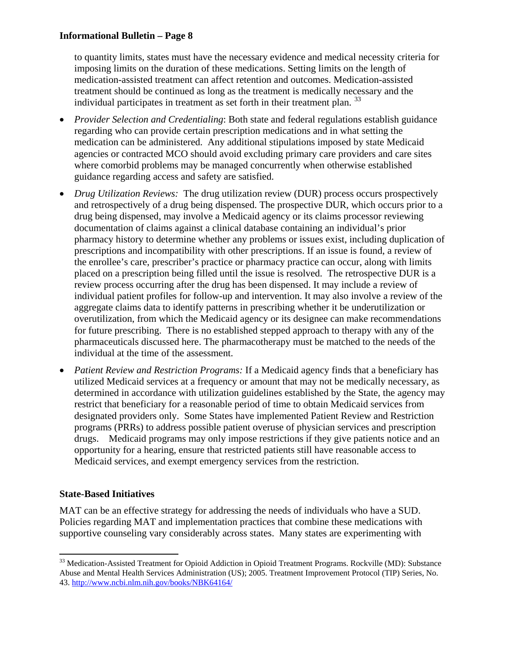to quantity limits, states must have the necessary evidence and medical necessity criteria for imposing limits on the duration of these medications. Setting limits on the length of medication-assisted treatment can affect retention and outcomes. Medication-assisted treatment should be continued as long as the treatment is medically necessary and the individual participates in treatment as set forth in their treatment plan.  $33$ 

- *Provider Selection and Credentialing*: Both state and federal regulations establish guidance regarding who can provide certain prescription medications and in what setting the medication can be administered. Any additional stipulations imposed by state Medicaid agencies or contracted MCO should avoid excluding primary care providers and care sites where comorbid problems may be managed concurrently when otherwise established guidance regarding access and safety are satisfied.
- *Drug Utilization Reviews:* The drug utilization review (DUR) process occurs prospectively and retrospectively of a drug being dispensed. The prospective DUR, which occurs prior to a drug being dispensed, may involve a Medicaid agency or its claims processor reviewing documentation of claims against a clinical database containing an individual's prior pharmacy history to determine whether any problems or issues exist, including duplication of prescriptions and incompatibility with other prescriptions. If an issue is found, a review of the enrollee's care, prescriber's practice or pharmacy practice can occur, along with limits placed on a prescription being filled until the issue is resolved. The retrospective DUR is a review process occurring after the drug has been dispensed. It may include a review of individual patient profiles for follow-up and intervention. It may also involve a review of the aggregate claims data to identify patterns in prescribing whether it be underutilization or overutilization, from which the Medicaid agency or its designee can make recommendations for future prescribing. There is no established stepped approach to therapy with any of the pharmaceuticals discussed here. The pharmacotherapy must be matched to the needs of the individual at the time of the assessment.
- *Patient Review and Restriction Programs:* If a Medicaid agency finds that a beneficiary has utilized Medicaid services at a frequency or amount that may not be medically necessary, as determined in accordance with utilization guidelines established by the State, the agency may restrict that beneficiary for a reasonable period of time to obtain Medicaid services from designated providers only. Some States have implemented Patient Review and Restriction programs (PRRs) to address possible patient overuse of physician services and prescription drugs. Medicaid programs may only impose restrictions if they give patients notice and an opportunity for a hearing, ensure that restricted patients still have reasonable access to Medicaid services, and exempt emergency services from the restriction.

## **State-Based Initiatives**

MAT can be an effective strategy for addressing the needs of individuals who have a SUD. Policies regarding MAT and implementation practices that combine these medications with supportive counseling vary considerably across states. Many states are experimenting with

<span id="page-7-0"></span>l <sup>33</sup> Medication-Assisted Treatment for Opioid Addiction in Opioid Treatment Programs. Rockville (MD): Substance Abuse and Mental Health Services Administration (US); 2005. Treatment Improvement Protocol (TIP) Series, No. 43.<http://www.ncbi.nlm.nih.gov/books/NBK64164/>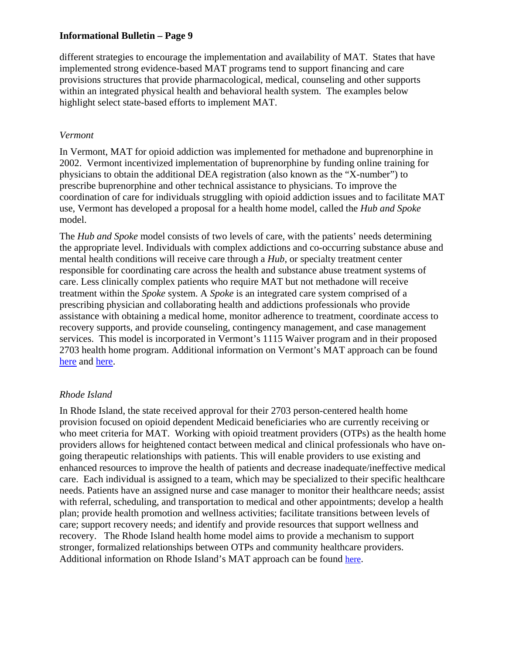different strategies to encourage the implementation and availability of MAT. States that have implemented strong evidence-based MAT programs tend to support financing and care provisions structures that provide pharmacological, medical, counseling and other supports within an integrated physical health and behavioral health system. The examples below highlight select state-based efforts to implement MAT.

#### *Vermont*

In Vermont, MAT for opioid addiction was implemented for methadone and buprenorphine in 2002. Vermont incentivized implementation of buprenorphine by funding online training for physicians to obtain the additional DEA registration (also known as the "X-number") to prescribe buprenorphine and other technical assistance to physicians. To improve the coordination of care for individuals struggling with opioid addiction issues and to facilitate MAT use, Vermont has developed a proposal for a health home model, called the *Hub and Spoke*  model.

The *Hub and Spoke* model consists of two levels of care, with the patients' needs determining the appropriate level. Individuals with complex addictions and co-occurring substance abuse and mental health conditions will receive care through a *Hub*, or specialty treatment center responsible for coordinating care across the health and substance abuse treatment systems of care. Less clinically complex patients who require MAT but not methadone will receive treatment within the *Spoke* system. A *Spoke* is an integrated care system comprised of a prescribing physician and collaborating health and addictions professionals who provide assistance with obtaining a medical home, monitor adherence to treatment, coordinate access to recovery supports, and provide counseling, contingency management, and case management services. This model is incorporated in Vermont's 1115 Waiver program and in their proposed 2703 health home program. Additional information on Vermont's MAT approach can be found [here](http://www.healthvermont.gov/adap/documents/HUBSPOKEBriefingDocV122112.pdf) and [here.](http://healthvermont.gov/adap/treatment/documents/BuprenorphinePracticeGuidelinesFINAL_01-15-2010.pdf)

## *Rhode Island*

In Rhode Island, the state received approval for their 2703 person-centered health home provision focused on opioid dependent Medicaid beneficiaries who are currently receiving or who meet criteria for MAT. Working with opioid treatment providers (OTPs) as the health home providers allows for heightened contact between medical and clinical professionals who have ongoing therapeutic relationships with patients. This will enable providers to use existing and enhanced resources to improve the health of patients and decrease inadequate/ineffective medical care. Each individual is assigned to a team, which may be specialized to their specific healthcare needs. Patients have an assigned nurse and case manager to monitor their healthcare needs; assist with referral, scheduling, and transportation to medical and other appointments; develop a health plan; provide health promotion and wellness activities; facilitate transitions between levels of care; support recovery needs; and identify and provide resources that support wellness and recovery. The Rhode Island health home model aims to provide a mechanism to support stronger, formalized relationships between OTPs and community healthcare providers. Additional information on Rhode Island's MAT approach can be found [here.](http://www.chcs.org/usr_doc/Rhode_Island_Health_Home_State_Plan_Amendment.pdf)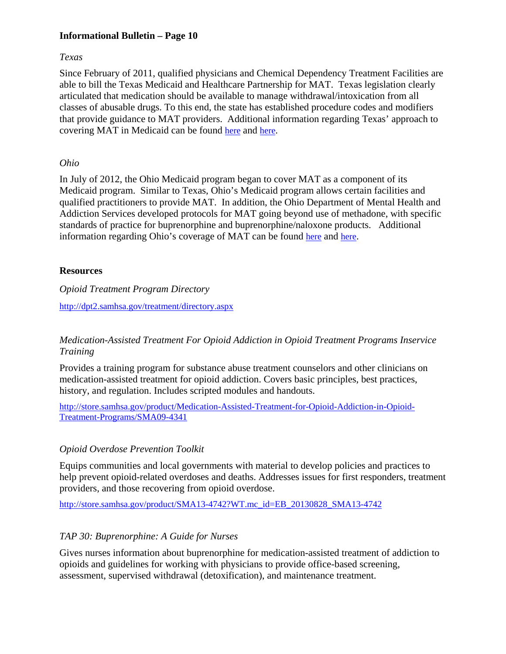#### *Texas*

Since February of 2011, qualified physicians and Chemical Dependency Treatment Facilities are able to bill the Texas Medicaid and Healthcare Partnership for MAT. Texas legislation clearly articulated that medication should be available to manage withdrawal/intoxication from all classes of abusable drugs. To this end, the state has established procedure codes and modifiers that provide guidance to MAT providers. Additional information regarding Texas' approach to covering MAT in Medicaid can be found [here](http://www.hhsc.state.tx.us/MAT-Benefits.shtml) and [here.](http://www.tmhp.com/HTMLmanuals/TMPPM/Current/Vol2_Behavioral_Health_Handbook.16.124.html)

#### *Ohio*

In July of 2012, the Ohio Medicaid program began to cover MAT as a component of its Medicaid program. Similar to Texas, Ohio's Medicaid program allows certain facilities and qualified practitioners to provide MAT. In addition, the Ohio Department of Mental Health and Addiction Services developed protocols for MAT going beyond use of methadone, with specific standards of practice for buprenorphine and buprenorphine/naloxone products. Additional information regarding Ohio's coverage of MAT can be found [here](http://mha.ohio.gov/Portals/0/assets/Planning/Medicaid/polcy-memo-on-changes-to-medication-assisted-treatment-6.28.12_2.pdf) and [here.](http://mha.ohio.gov/Portals/0/assets/Treatment/OpiatesMAT/Buprenorphine%20and%20Suboxone%20Low%20Dose%20Protocol%20for%20web.pdf)

#### **Resources**

*Opioid Treatment Program Directory*

<http://dpt2.samhsa.gov/treatment/directory.aspx>

## *Medication-Assisted Treatment For Opioid Addiction in Opioid Treatment Programs Inservice Training*

Provides a training program for substance abuse treatment counselors and other clinicians on medication-assisted treatment for opioid addiction. Covers basic principles, best practices, history, and regulation. Includes scripted modules and handouts.

[http://store.samhsa.gov/product/Medication-Assisted-Treatment-for-Opioid-Addiction-in-Opioid-](http://store.samhsa.gov/product/Medication-Assisted-Treatment-for-Opioid-Addiction-in-Opioid-Treatment-Programs/SMA09-4341)[Treatment-Programs/SMA09-4341](http://store.samhsa.gov/product/Medication-Assisted-Treatment-for-Opioid-Addiction-in-Opioid-Treatment-Programs/SMA09-4341)

## *Opioid Overdose Prevention Toolkit*

Equips communities and local governments with material to develop policies and practices to help prevent opioid-related overdoses and deaths. Addresses issues for first responders, treatment providers, and those recovering from opioid overdose.

[http://store.samhsa.gov/product/SMA13-4742?WT.mc\\_id=EB\\_20130828\\_SMA13-4742](http://store.samhsa.gov/product/SMA13-4742?WT.mc_id=EB_20130828_SMA13-4742)

## *TAP 30: Buprenorphine: A Guide for Nurses*

Gives nurses information about buprenorphine for medication-assisted treatment of addiction to opioids and guidelines for working with physicians to provide office-based screening, assessment, supervised withdrawal (detoxification), and maintenance treatment.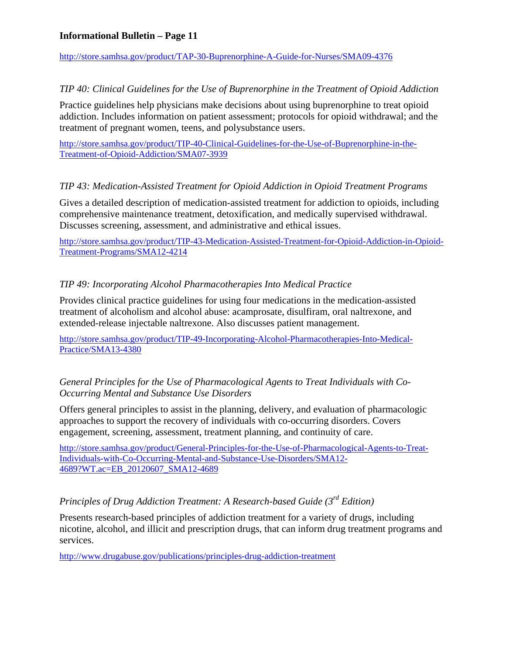<http://store.samhsa.gov/product/TAP-30-Buprenorphine-A-Guide-for-Nurses/SMA09-4376>

## *TIP 40: Clinical Guidelines for the Use of Buprenorphine in the Treatment of Opioid Addiction*

Practice guidelines help physicians make decisions about using buprenorphine to treat opioid addiction. Includes information on patient assessment; protocols for opioid withdrawal; and the treatment of pregnant women, teens, and polysubstance users.

[http://store.samhsa.gov/product/TIP-40-Clinical-Guidelines-for-the-Use-of-Buprenorphine-in-the-](http://store.samhsa.gov/product/TIP-40-Clinical-Guidelines-for-the-Use-of-Buprenorphine-in-the-Treatment-of-Opioid-Addiction/SMA07-3939)[Treatment-of-Opioid-Addiction/SMA07-3939](http://store.samhsa.gov/product/TIP-40-Clinical-Guidelines-for-the-Use-of-Buprenorphine-in-the-Treatment-of-Opioid-Addiction/SMA07-3939)

## *TIP 43: Medication-Assisted Treatment for Opioid Addiction in Opioid Treatment Programs*

Gives a detailed description of medication-assisted treatment for addiction to opioids, including comprehensive maintenance treatment, detoxification, and medically supervised withdrawal. Discusses screening, assessment, and administrative and ethical issues.

[http://store.samhsa.gov/product/TIP-43-Medication-Assisted-Treatment-for-Opioid-Addiction-in-Opioid-](http://store.samhsa.gov/product/TIP-43-Medication-Assisted-Treatment-for-Opioid-Addiction-in-Opioid-Treatment-Programs/SMA12-4214)[Treatment-Programs/SMA12-4214](http://store.samhsa.gov/product/TIP-43-Medication-Assisted-Treatment-for-Opioid-Addiction-in-Opioid-Treatment-Programs/SMA12-4214)

## *TIP 49: Incorporating Alcohol Pharmacotherapies Into Medical Practice*

Provides clinical practice guidelines for using four medications in the medication-assisted treatment of alcoholism and alcohol abuse: acamprosate, disulfiram, oral naltrexone, and extended-release injectable naltrexone. Also discusses patient management.

[http://store.samhsa.gov/product/TIP-49-Incorporating-Alcohol-Pharmacotherapies-Into-Medical-](http://store.samhsa.gov/product/TIP-49-Incorporating-Alcohol-Pharmacotherapies-Into-Medical-Practice/SMA13-4380)[Practice/SMA13-4380](http://store.samhsa.gov/product/TIP-49-Incorporating-Alcohol-Pharmacotherapies-Into-Medical-Practice/SMA13-4380)

## *General Principles for the Use of Pharmacological Agents to Treat Individuals with Co-Occurring Mental and Substance Use Disorders*

Offers general principles to assist in the planning, delivery, and evaluation of pharmacologic approaches to support the recovery of individuals with co-occurring disorders. Covers engagement, screening, assessment, treatment planning, and continuity of care.

[http://store.samhsa.gov/product/General-Principles-for-the-Use-of-Pharmacological-Agents-to-Treat-](http://store.samhsa.gov/product/General-Principles-for-the-Use-of-Pharmacological-Agents-to-Treat-Individuals-with-Co-Occurring-Mental-and-Substance-Use-Disorders/SMA12-4689?WT.ac=EB_20120607_SMA12-4689)[Individuals-with-Co-Occurring-Mental-and-Substance-Use-Disorders/SMA12-](http://store.samhsa.gov/product/General-Principles-for-the-Use-of-Pharmacological-Agents-to-Treat-Individuals-with-Co-Occurring-Mental-and-Substance-Use-Disorders/SMA12-4689?WT.ac=EB_20120607_SMA12-4689) [4689?WT.ac=EB\\_20120607\\_SMA12-4689](http://store.samhsa.gov/product/General-Principles-for-the-Use-of-Pharmacological-Agents-to-Treat-Individuals-with-Co-Occurring-Mental-and-Substance-Use-Disorders/SMA12-4689?WT.ac=EB_20120607_SMA12-4689)

## *Principles of Drug Addiction Treatment: A Research-based Guide (3rd Edition)*

Presents research-based principles of addiction treatment for a variety of drugs, including nicotine, alcohol, and illicit and prescription drugs, that can inform drug treatment programs and services.

<http://www.drugabuse.gov/publications/principles-drug-addiction-treatment>